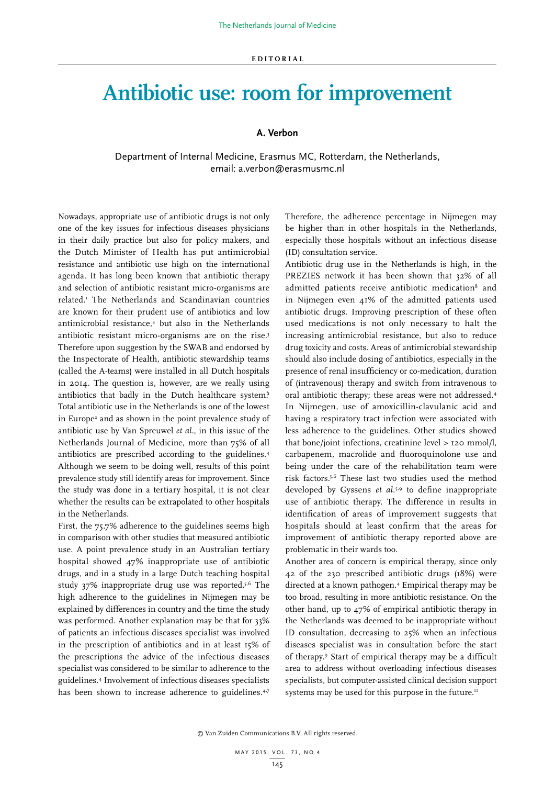## **Antibiotic use: room for improvement**

## **A. Verbon**

Department of Internal Medicine, Erasmus MC, Rotterdam, the Netherlands, email: a.verbon@erasmusmc.nl

Nowadays, appropriate use of antibiotic drugs is not only one of the key issues for infectious diseases physicians in their daily practice but also for policy makers, and the Dutch Minister of Health has put antimicrobial resistance and antibiotic use high on the international agenda. It has long been known that antibiotic therapy and selection of antibiotic resistant micro-organisms are related.1 The Netherlands and Scandinavian countries are known for their prudent use of antibiotics and low antimicrobial resistance,<sup>2</sup> but also in the Netherlands antibiotic resistant micro-organisms are on the rise.<sup>3</sup> Therefore upon suggestion by the SWAB and endorsed by the Inspectorate of Health, antibiotic stewardship teams (called the A-teams) were installed in all Dutch hospitals in 2014. The question is, however, are we really using antibiotics that badly in the Dutch healthcare system? Total antibiotic use in the Netherlands is one of the lowest in Europe<sup>2</sup> and as shown in the point prevalence study of antibiotic use by Van Spreuwel *et al.*, in this issue of the Netherlands Journal of Medicine, more than 75% of all antibiotics are prescribed according to the guidelines.4 Although we seem to be doing well, results of this point prevalence study still identify areas for improvement. Since the study was done in a tertiary hospital, it is not clear whether the results can be extrapolated to other hospitals in the Netherlands.

First, the 75.7% adherence to the guidelines seems high in comparison with other studies that measured antibiotic use. A point prevalence study in an Australian tertiary hospital showed 47% inappropriate use of antibiotic drugs, and in a study in a large Dutch teaching hospital study 37% inappropriate drug use was reported.5,6 The high adherence to the guidelines in Nijmegen may be explained by differences in country and the time the study was performed. Another explanation may be that for 33% of patients an infectious diseases specialist was involved in the prescription of antibiotics and in at least 15% of the prescriptions the advice of the infectious diseases specialist was considered to be similar to adherence to the guidelines.4 Involvement of infectious diseases specialists has been shown to increase adherence to guidelines.<sup>4,7</sup>

Therefore, the adherence percentage in Nijmegen may be higher than in other hospitals in the Netherlands, especially those hospitals without an infectious disease (ID) consultation service.

Antibiotic drug use in the Netherlands is high, in the PREZIES network it has been shown that 32% of all admitted patients receive antibiotic medication<sup>8</sup> and in Nijmegen even 41% of the admitted patients used antibiotic drugs. Improving prescription of these often used medications is not only necessary to halt the increasing antimicrobial resistance, but also to reduce drug toxicity and costs. Areas of antimicrobial stewardship should also include dosing of antibiotics, especially in the presence of renal insufficiency or co-medication, duration of (intravenous) therapy and switch from intravenous to oral antibiotic therapy; these areas were not addressed.4 In Nijmegen, use of amoxicillin-clavulanic acid and having a respiratory tract infection were associated with less adherence to the guidelines. Other studies showed that bone/joint infections, creatinine level > 120 mmol/l, carbapenem, macrolide and fluoroquinolone use and being under the care of the rehabilitation team were risk factors.5,6 These last two studies used the method developed by Gyssens *et al.*5,9 to define inappropriate use of antibiotic therapy. The difference in results in identification of areas of improvement suggests that hospitals should at least confirm that the areas for improvement of antibiotic therapy reported above are problematic in their wards too.

Another area of concern is empirical therapy, since only 42 of the 230 prescribed antibiotic drugs (18%) were directed at a known pathogen.4 Empirical therapy may be too broad, resulting in more antibiotic resistance. On the other hand, up to 47% of empirical antibiotic therapy in the Netherlands was deemed to be inappropriate without ID consultation, decreasing to 25% when an infectious diseases specialist was in consultation before the start of therapy.9 Start of empirical therapy may be a difficult area to address without overloading infectious diseases specialists, but computer-assisted clinical decision support systems may be used for this purpose in the future.<sup>11</sup>